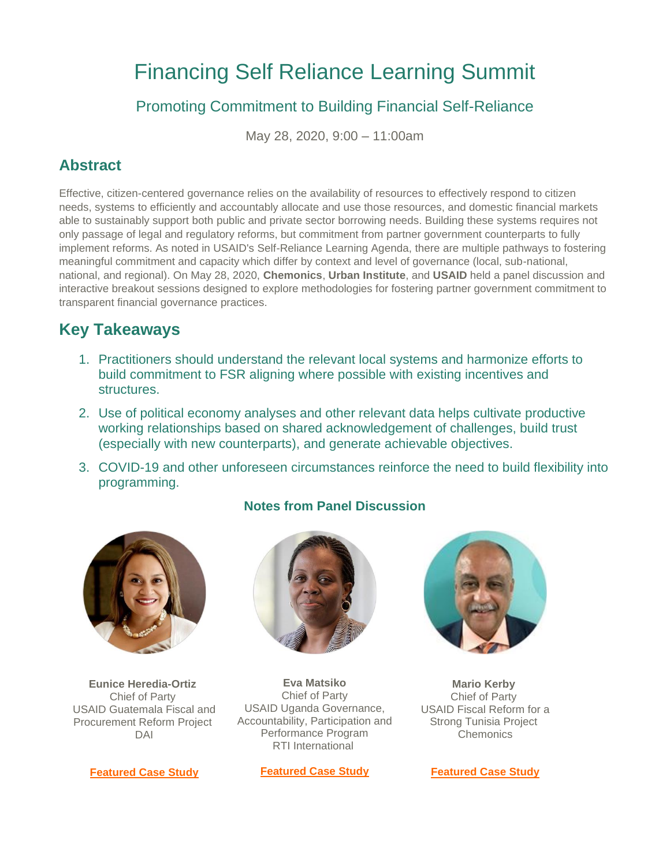# Financing Self Reliance Learning Summit

# Promoting Commitment to Building Financial Self-Reliance

May 28, 2020, 9:00 – 11:00am

## **Abstract**

Effective, citizen-centered governance relies on the availability of resources to effectively respond to citizen needs, systems to efficiently and accountably allocate and use those resources, and domestic financial markets able to sustainably support both public and private sector borrowing needs. Building these systems requires not only passage of legal and regulatory reforms, but commitment from partner government counterparts to fully implement reforms. As noted in USAID's Self-Reliance Learning Agenda, there are multiple pathways to fostering meaningful commitment and capacity which differ by context and level of governance (local, sub-national, national, and regional). On May 28, 2020, **Chemonics**, **Urban Institute**, and **USAID** held a panel discussion and interactive breakout sessions designed to explore methodologies for fostering partner government commitment to transparent financial governance practices.

# **Key Takeaways**

- 1. Practitioners should understand the relevant local systems and harmonize efforts to build commitment to FSR aligning where possible with existing incentives and structures.
- 2. Use of political economy analyses and other relevant data helps cultivate productive working relationships based on shared acknowledgement of challenges, build trust (especially with new counterparts), and generate achievable objectives.
- 3. COVID-19 and other unforeseen circumstances reinforce the need to build flexibility into programming.



**Eunice Heredia-Ortiz** Chief of Party USAID Guatemala Fiscal and Procurement Reform Project DAI



## **Notes from Panel Discussion**



**Eva Matsiko** Chief of Party USAID Uganda Governance, Accountability, Participation and Performance Program RTI International

**[Featured Case Study](http://r20.rs6.net/tn.jsp?f=0018yjxH-xB5DAFssXDhlsRsnZogIcK-247EHeLPBxl4-2OEx7jDpzxv9adgPy0HQhLY5MdmfgPE_vOAvGUk10r-zap9jqGdqQzVp7JDfSxWhnjNGamFy9sKM2zpkR-8kNpLxeEESpUM8543sFEaJYLM6Pe0a_XaQktDvINxkDqlbYXUwbFsg7sfhbq__BGdCoaOMonbQY6MQees0AM8AvR5bbVib-QRppv_2yE31in4Ml8A6DPDro3w7eo6hl9I3YampneMUtLcYg=&c=gychoPxgWjQEF3oLhY9-Ztns9_hmz9ZtQQrRmv5hzZd5bG1wVJPAUw==&ch=e12Utj1z-r24WqPxOTjUwCd99nrEvqYpe9g6Y54Y_aGxXrCMIC-hvw==)**



**Mario Kerby** Chief of Party USAID Fiscal Reform for a Strong Tunisia Project **Chemonics** 

**[Featured Case Study](http://r20.rs6.net/tn.jsp?f=0018yjxH-xB5DAFssXDhlsRsnZogIcK-247EHeLPBxl4-2OEx7jDpzxv9adgPy0HQhLwVsPl96faEzEw4ysqlgqazL9mvLhJBLbaQB3IXMBYjbKbMukW7cIgnVeePeZxCcUuxEBNho-YJOEDrJI-lD5SngDqxf295FzrkEDOKM7E6QCLlL34WN2XNHldGuLC7pFYYSwYau1vuj_m_-xFYgxuZGbFZQ8hrV3wKQyGz_03T27Atvrmn4o8MM0B1qxzoY3Ms2TA1_lzv0=&c=gychoPxgWjQEF3oLhY9-Ztns9_hmz9ZtQQrRmv5hzZd5bG1wVJPAUw==&ch=e12Utj1z-r24WqPxOTjUwCd99nrEvqYpe9g6Y54Y_aGxXrCMIC-hvw==)**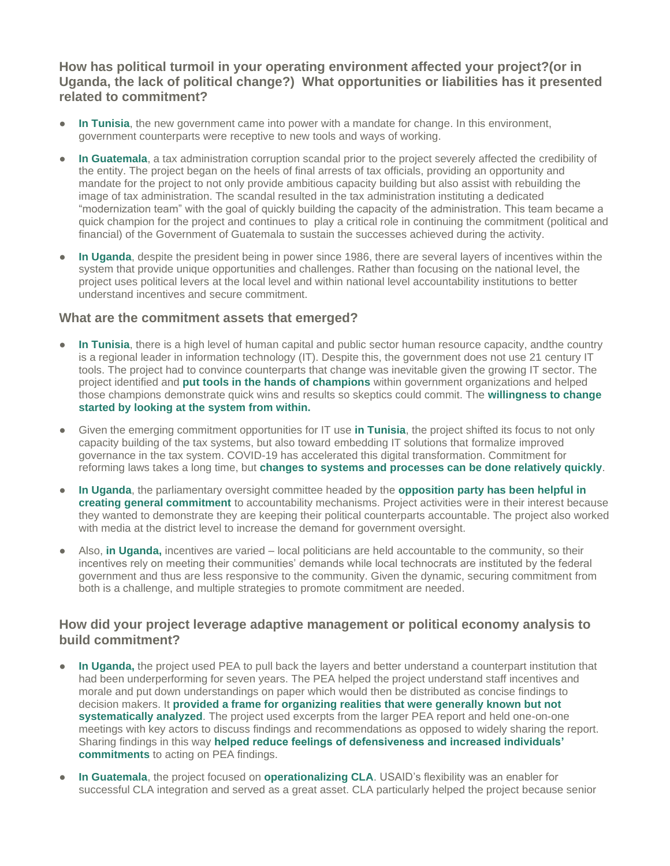**How has political turmoil in your operating environment affected your project?(or in Uganda, the lack of political change?) What opportunities or liabilities has it presented related to commitment?**

- **In Tunisia**, the new government came into power with a mandate for change. In this environment, government counterparts were receptive to new tools and ways of working.
- **In Guatemala**, a tax administration corruption scandal prior to the project severely affected the credibility of the entity. The project began on the heels of final arrests of tax officials, providing an opportunity and mandate for the project to not only provide ambitious capacity building but also assist with rebuilding the image of tax administration. The scandal resulted in the tax administration instituting a dedicated "modernization team" with the goal of quickly building the capacity of the administration. This team became a quick champion for the project and continues to play a critical role in continuing the commitment (political and financial) of the Government of Guatemala to sustain the successes achieved during the activity.
- **In Uganda**, despite the president being in power since 1986, there are several layers of incentives within the system that provide unique opportunities and challenges. Rather than focusing on the national level, the project uses political levers at the local level and within national level accountability institutions to better understand incentives and secure commitment.

#### **What are the commitment assets that emerged?**

- **In Tunisia**, there is a high level of human capital and public sector human resource capacity, andthe country is a regional leader in information technology (IT). Despite this, the government does not use 21 century IT tools. The project had to convince counterparts that change was inevitable given the growing IT sector. The project identified and **put tools in the hands of champions** within government organizations and helped those champions demonstrate quick wins and results so skeptics could commit. The **willingness to change started by looking at the system from within.**
- Given the emerging commitment opportunities for IT use **in Tunisia**, the project shifted its focus to not only capacity building of the tax systems, but also toward embedding IT solutions that formalize improved governance in the tax system. COVID-19 has accelerated this digital transformation. Commitment for reforming laws takes a long time, but **changes to systems and processes can be done relatively quickly**.
- **In Uganda**, the parliamentary oversight committee headed by the **opposition party has been helpful in creating general commitment** to accountability mechanisms. Project activities were in their interest because they wanted to demonstrate they are keeping their political counterparts accountable. The project also worked with media at the district level to increase the demand for government oversight.
- Also, **in Uganda**, incentives are varied local politicians are held accountable to the community, so their incentives rely on meeting their communities' demands while local technocrats are instituted by the federal government and thus are less responsive to the community. Given the dynamic, securing commitment from both is a challenge, and multiple strategies to promote commitment are needed.

## **How did your project leverage adaptive management or political economy analysis to build commitment?**

- **In Uganda,** the project used PEA to pull back the layers and better understand a counterpart institution that had been underperforming for seven years. The PEA helped the project understand staff incentives and morale and put down understandings on paper which would then be distributed as concise findings to decision makers. It **provided a frame for organizing realities that were generally known but not systematically analyzed**. The project used excerpts from the larger PEA report and held one-on-one meetings with key actors to discuss findings and recommendations as opposed to widely sharing the report. Sharing findings in this way **helped reduce feelings of defensiveness and increased individuals' commitments** to acting on PEA findings.
- In Guatemala, the project focused on **operationalizing CLA**. USAID's flexibility was an enabler for successful CLA integration and served as a great asset. CLA particularly helped the project because senior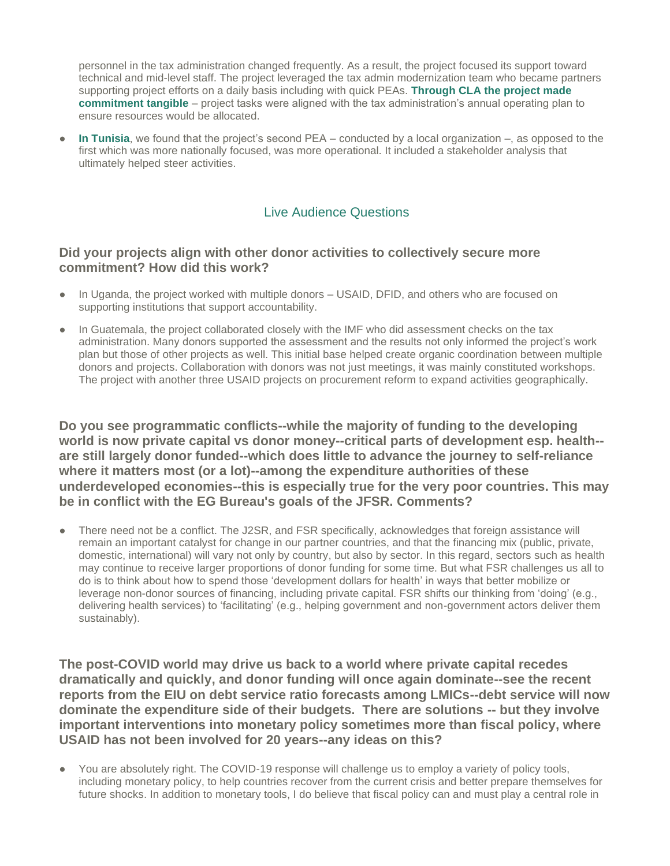personnel in the tax administration changed frequently. As a result, the project focused its support toward technical and mid-level staff. The project leveraged the tax admin modernization team who became partners supporting project efforts on a daily basis including with quick PEAs. **Through CLA the project made commitment tangible** – project tasks were aligned with the tax administration's annual operating plan to ensure resources would be allocated.

**In Tunisia**, we found that the project's second PEA – conducted by a local organization –, as opposed to the first which was more nationally focused, was more operational. It included a stakeholder analysis that ultimately helped steer activities.

#### Live Audience Questions

#### **Did your projects align with other donor activities to collectively secure more commitment? How did this work?**

- In Uganda, the project worked with multiple donors USAID, DFID, and others who are focused on supporting institutions that support accountability.
- In Guatemala, the project collaborated closely with the IMF who did assessment checks on the tax administration. Many donors supported the assessment and the results not only informed the project's work plan but those of other projects as well. This initial base helped create organic coordination between multiple donors and projects. Collaboration with donors was not just meetings, it was mainly constituted workshops. The project with another three USAID projects on procurement reform to expand activities geographically.

**Do you see programmatic conflicts--while the majority of funding to the developing world is now private capital vs donor money--critical parts of development esp. health- are still largely donor funded--which does little to advance the journey to self-reliance where it matters most (or a lot)--among the expenditure authorities of these underdeveloped economies--this is especially true for the very poor countries. This may be in conflict with the EG Bureau's goals of the JFSR. Comments?**

There need not be a conflict. The J2SR, and FSR specifically, acknowledges that foreign assistance will remain an important catalyst for change in our partner countries, and that the financing mix (public, private, domestic, international) will vary not only by country, but also by sector. In this regard, sectors such as health may continue to receive larger proportions of donor funding for some time. But what FSR challenges us all to do is to think about how to spend those 'development dollars for health' in ways that better mobilize or leverage non-donor sources of financing, including private capital. FSR shifts our thinking from 'doing' (e.g., delivering health services) to 'facilitating' (e.g., helping government and non-government actors deliver them sustainably).

**The post-COVID world may drive us back to a world where private capital recedes dramatically and quickly, and donor funding will once again dominate--see the recent reports from the EIU on debt service ratio forecasts among LMICs--debt service will now dominate the expenditure side of their budgets. There are solutions -- but they involve important interventions into monetary policy sometimes more than fiscal policy, where USAID has not been involved for 20 years--any ideas on this?**

● You are absolutely right. The COVID-19 response will challenge us to employ a variety of policy tools, including monetary policy, to help countries recover from the current crisis and better prepare themselves for future shocks. In addition to monetary tools, I do believe that fiscal policy can and must play a central role in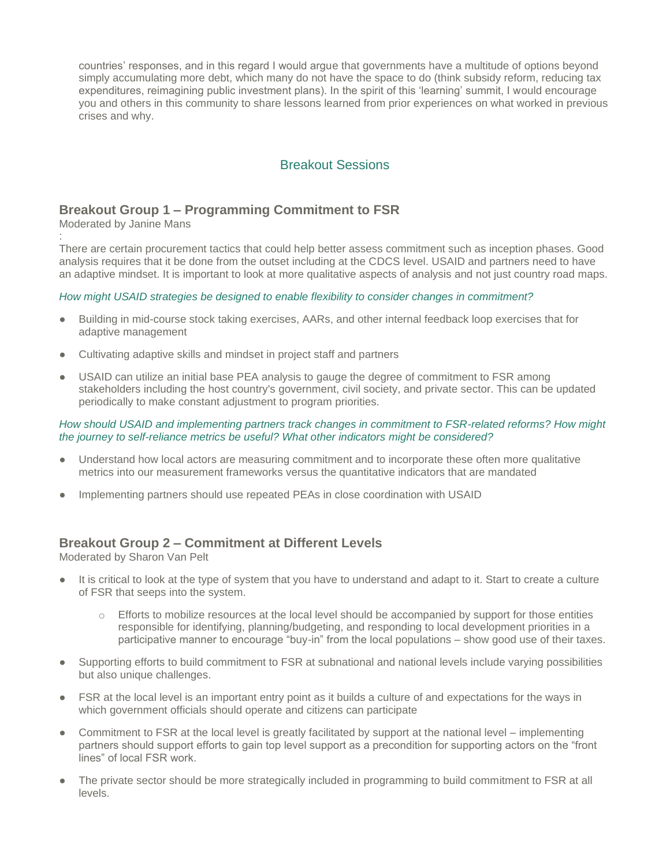countries' responses, and in this regard I would argue that governments have a multitude of options beyond simply accumulating more debt, which many do not have the space to do (think subsidy reform, reducing tax expenditures, reimagining public investment plans). In the spirit of this 'learning' summit, I would encourage you and others in this community to share lessons learned from prior experiences on what worked in previous crises and why.

## Breakout Sessions

## **Breakout Group 1 – Programming Commitment to FSR**

Moderated by Janine Mans

: There are certain procurement tactics that could help better assess commitment such as inception phases. Good analysis requires that it be done from the outset including at the CDCS level. USAID and partners need to have an adaptive mindset. It is important to look at more qualitative aspects of analysis and not just country road maps.

#### *How might USAID strategies be designed to enable flexibility to consider changes in commitment?*

- Building in mid-course stock taking exercises, AARs, and other internal feedback loop exercises that for adaptive management
- Cultivating adaptive skills and mindset in project staff and partners
- USAID can utilize an initial base PEA analysis to gauge the degree of commitment to FSR among stakeholders including the host country's government, civil society, and private sector. This can be updated periodically to make constant adjustment to program priorities.

#### *How should USAID and implementing partners track changes in commitment to FSR-related reforms? How might the journey to self-reliance metrics be useful? What other indicators might be considered?*

- Understand how local actors are measuring commitment and to incorporate these often more qualitative metrics into our measurement frameworks versus the quantitative indicators that are mandated
- Implementing partners should use repeated PEAs in close coordination with USAID

## **Breakout Group 2 – Commitment at Different Levels**

Moderated by Sharon Van Pelt

- It is critical to look at the type of system that you have to understand and adapt to it. Start to create a culture of FSR that seeps into the system.
	- Efforts to mobilize resources at the local level should be accompanied by support for those entities responsible for identifying, planning/budgeting, and responding to local development priorities in a participative manner to encourage "buy-in" from the local populations – show good use of their taxes.
- Supporting efforts to build commitment to FSR at subnational and national levels include varying possibilities but also unique challenges.
- FSR at the local level is an important entry point as it builds a culture of and expectations for the ways in which government officials should operate and citizens can participate
- Commitment to FSR at the local level is greatly facilitated by support at the national level implementing partners should support efforts to gain top level support as a precondition for supporting actors on the "front lines" of local FSR work.
- The private sector should be more strategically included in programming to build commitment to FSR at all levels.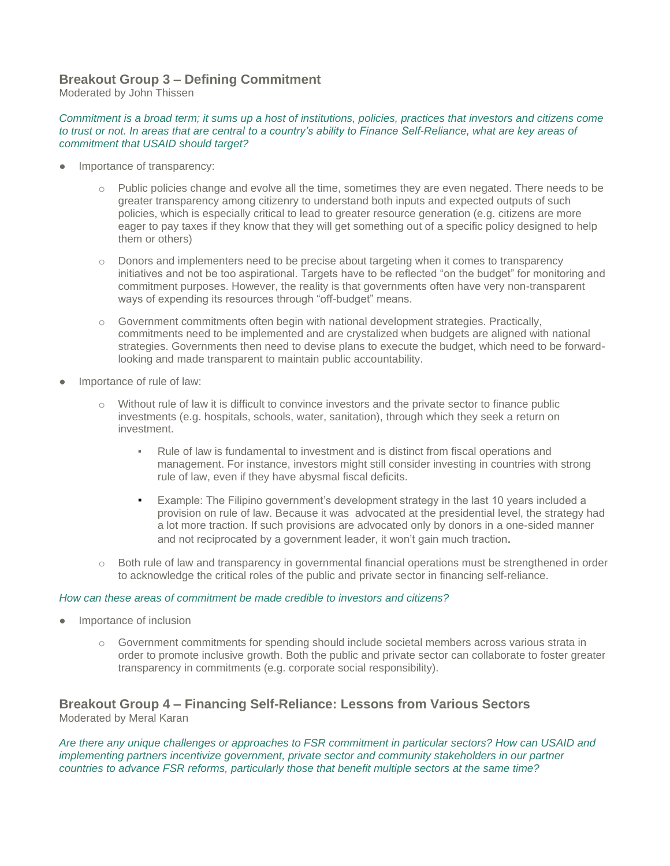#### **Breakout Group 3 – Defining Commitment**

Moderated by John Thissen

#### *Commitment is a broad term; it sums up a host of institutions, policies, practices that investors and citizens come*  to trust or not. In areas that are central to a country's ability to Finance Self-Reliance, what are key areas of *commitment that USAID should target?*

- Importance of transparency:
	- $\circ$  Public policies change and evolve all the time, sometimes they are even negated. There needs to be greater transparency among citizenry to understand both inputs and expected outputs of such policies, which is especially critical to lead to greater resource generation (e.g. citizens are more eager to pay taxes if they know that they will get something out of a specific policy designed to help them or others)
	- $\circ$  Donors and implementers need to be precise about targeting when it comes to transparency initiatives and not be too aspirational. Targets have to be reflected "on the budget" for monitoring and commitment purposes. However, the reality is that governments often have very non-transparent ways of expending its resources through "off-budget" means.
	- $\circ$  Government commitments often begin with national development strategies. Practically, commitments need to be implemented and are crystalized when budgets are aligned with national strategies. Governments then need to devise plans to execute the budget, which need to be forwardlooking and made transparent to maintain public accountability.
- Importance of rule of law:
	- $\circ$  Without rule of law it is difficult to convince investors and the private sector to finance public investments (e.g. hospitals, schools, water, sanitation), through which they seek a return on investment.
		- Rule of law is fundamental to investment and is distinct from fiscal operations and management. For instance, investors might still consider investing in countries with strong rule of law, even if they have abysmal fiscal deficits.
		- **Example: The Filipino government's development strategy in the last 10 years included a** provision on rule of law. Because it was advocated at the presidential level, the strategy had a lot more traction. If such provisions are advocated only by donors in a one-sided manner and not reciprocated by a government leader, it won't gain much traction.
	- $\circ$  Both rule of law and transparency in governmental financial operations must be strengthened in order to acknowledge the critical roles of the public and private sector in financing self-reliance.

#### *How can these areas of commitment be made credible to investors and citizens?*

- Importance of inclusion
	- $\circ$  Government commitments for spending should include societal members across various strata in order to promote inclusive growth. Both the public and private sector can collaborate to foster greater transparency in commitments (e.g. corporate social responsibility).

#### **Breakout Group 4 – Financing Self-Reliance: Lessons from Various Sectors** Moderated by Meral Karan

*Are there any unique challenges or approaches to FSR commitment in particular sectors? How can USAID and implementing partners incentivize government, private sector and community stakeholders in our partner countries to advance FSR reforms, particularly those that benefit multiple sectors at the same time?*